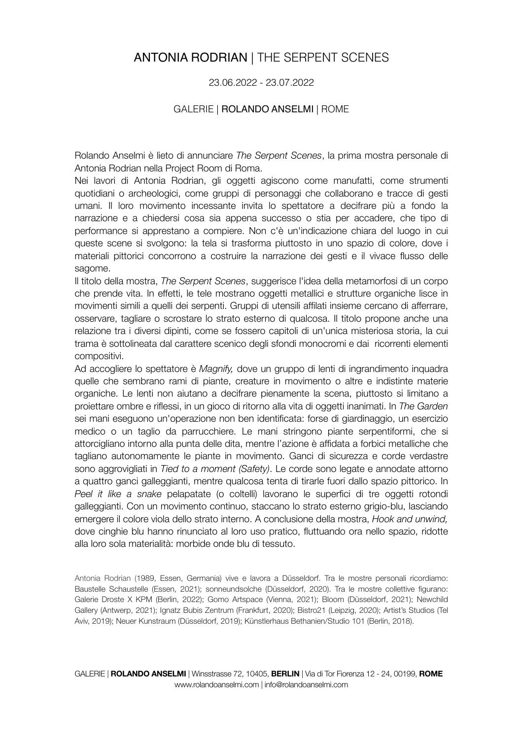# ANTONIA RODRIAN | THE SERPENT SCENES

## 23.06.2022 - 23.07.2022

### GALERIE | ROLANDO ANSELMI | ROME

Rolando Anselmi è lieto di annunciare *The Serpent Scenes*, la prima mostra personale di Antonia Rodrian nella Project Room di Roma.

Nei lavori di Antonia Rodrian, gli oggetti agiscono come manufatti, come strumenti quotidiani o archeologici, come gruppi di personaggi che collaborano e tracce di gesti umani. Il loro movimento incessante invita lo spettatore a decifrare più a fondo la narrazione e a chiedersi cosa sia appena successo o stia per accadere, che tipo di performance si apprestano a compiere. Non c'è un'indicazione chiara del luogo in cui queste scene si svolgono: la tela si trasforma piuttosto in uno spazio di colore, dove i materiali pittorici concorrono a costruire la narrazione dei gesti e il vivace flusso delle sagome.

Il titolo della mostra, *The Serpent Scenes*, suggerisce l'idea della metamorfosi di un corpo che prende vita. In effetti, le tele mostrano oggetti metallici e strutture organiche lisce in movimenti simili a quelli dei serpenti. Gruppi di utensili affilati insieme cercano di afferrare, osservare, tagliare o scrostare lo strato esterno di qualcosa. Il titolo propone anche una relazione tra i diversi dipinti, come se fossero capitoli di un'unica misteriosa storia, la cui trama è sottolineata dal carattere scenico degli sfondi monocromi e dai ricorrenti elementi compositivi.

Ad accogliere lo spettatore è *Magnify,* dove un gruppo di lenti di ingrandimento inquadra quelle che sembrano rami di piante, creature in movimento o altre e indistinte materie organiche. Le lenti non aiutano a decifrare pienamente la scena, piuttosto si limitano a proiettare ombre e riflessi, in un gioco di ritorno alla vita di oggetti inanimati. In *The Garden*  sei mani eseguono un'operazione non ben identificata: forse di giardinaggio, un esercizio medico o un taglio da parrucchiere. Le mani stringono piante serpentiformi, che si attorcigliano intorno alla punta delle dita, mentre l'azione è affidata a forbici metalliche che tagliano autonomamente le piante in movimento. Ganci di sicurezza e corde verdastre sono aggrovigliati in *Tied to a moment (Safety)*. Le corde sono legate e annodate attorno a quattro ganci galleggianti, mentre qualcosa tenta di tirarle fuori dallo spazio pittorico. In *Peel it like a snake* pelapatate (o coltelli) lavorano le superfici di tre oggetti rotondi galleggianti. Con un movimento continuo, staccano lo strato esterno grigio-blu, lasciando emergere il colore viola dello strato interno. A conclusione della mostra, *Hook and unwind,*  dove cinghie blu hanno rinunciato al loro uso pratico, fluttuando ora nello spazio, ridotte alla loro sola materialità: morbide onde blu di tessuto.

Antonia Rodrian (1989, Essen, Germania) vive e lavora a Düsseldorf. Tra le mostre personali ricordiamo: Baustelle Schaustelle (Essen, 2021); sonneundsolche (Düsseldorf, 2020). Tra le mostre collettive figurano: Galerie Droste X KPM (Berlin, 2022); Gomo Artspace (Vienna, 2021); Bloom (Düsseldorf, 2021); Newchild Gallery (Antwerp, 2021); Ignatz Bubis Zentrum (Frankfurt, 2020); Bistro21 (Leipzig, 2020); Artist's Studios (Tel Aviv, 2019); Neuer Kunstraum (Düsseldorf, 2019); Künstlerhaus Bethanien/Studio 101 (Berlin, 2018).